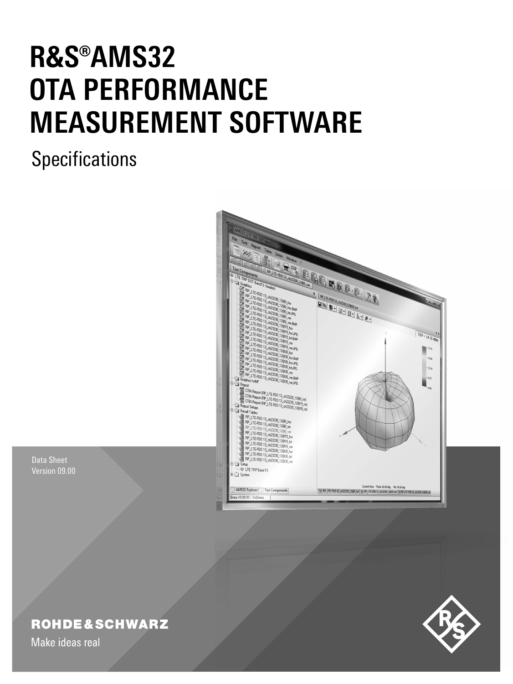# **R&S®AMS32 OTA PERFORMANCE MEASUREMENT SOFTWARE**

**Specifications** 



Data Sheet Version 09.00

# **ROHDE&SCHWARZ**

Make ideas real

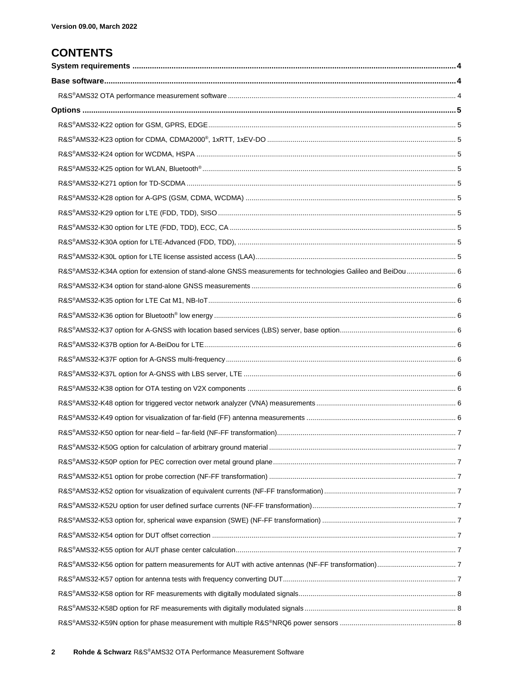## **CONTENTS**

| R&S®AMS32-K34A option for extension of stand-alone GNSS measurements for technologies Galileo and BeiDou 6 |  |
|------------------------------------------------------------------------------------------------------------|--|
|                                                                                                            |  |
|                                                                                                            |  |
|                                                                                                            |  |
|                                                                                                            |  |
|                                                                                                            |  |
|                                                                                                            |  |
|                                                                                                            |  |
|                                                                                                            |  |
|                                                                                                            |  |
|                                                                                                            |  |
|                                                                                                            |  |
|                                                                                                            |  |
|                                                                                                            |  |
|                                                                                                            |  |
|                                                                                                            |  |
|                                                                                                            |  |
|                                                                                                            |  |
|                                                                                                            |  |
|                                                                                                            |  |
|                                                                                                            |  |
|                                                                                                            |  |
|                                                                                                            |  |
|                                                                                                            |  |
|                                                                                                            |  |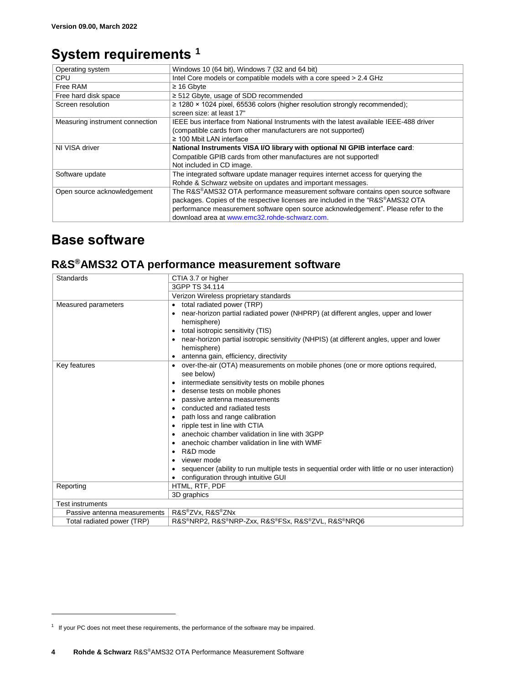## <span id="page-3-0"></span>**System requirements <sup>1</sup>**

| Operating system                | Windows 10 (64 bit), Windows 7 (32 and 64 bit)                                         |
|---------------------------------|----------------------------------------------------------------------------------------|
| <b>CPU</b>                      | Intel Core models or compatible models with a core speed > 2.4 GHz                     |
| Free RAM                        | $\geq$ 16 Gbyte                                                                        |
| Free hard disk space            | $\ge$ 512 Gbyte, usage of SDD recommended                                              |
| Screen resolution               | $\geq$ 1280 × 1024 pixel, 65536 colors (higher resolution strongly recommended);       |
|                                 | screen size: at least 17"                                                              |
| Measuring instrument connection | IEEE bus interface from National Instruments with the latest available IEEE-488 driver |
|                                 | (compatible cards from other manufacturers are not supported)                          |
|                                 | $\geq$ 100 Mbit LAN interface                                                          |
| NI VISA driver                  | National Instruments VISA I/O library with optional NI GPIB interface card:            |
|                                 | Compatible GPIB cards from other manufactures are not supported!                       |
|                                 | Not included in CD image.                                                              |
| Software update                 | The integrated software update manager requires internet access for querying the       |
|                                 | Rohde & Schwarz website on updates and important messages.                             |
| Open source acknowledgement     | The R&S®AMS32 OTA performance measurement software contains open source software       |
|                                 | packages. Copies of the respective licenses are included in the "R&S®AMS32 OTA         |
|                                 | performance measurement software open source acknowledgement". Please refer to the     |
|                                 | download area at www.emc32.rohde-schwarz.com.                                          |

## <span id="page-3-1"></span>**Base software**

l

## <span id="page-3-2"></span>**R&S®AMS32 OTA performance measurement software**

| Standards                    | CTIA 3.7 or higher                                                                                 |
|------------------------------|----------------------------------------------------------------------------------------------------|
|                              | 3GPP TS 34.114                                                                                     |
|                              | Verizon Wireless proprietary standards                                                             |
| Measured parameters          | total radiated power (TRP)                                                                         |
|                              | near-horizon partial radiated power (NHPRP) (at different angles, upper and lower                  |
|                              | hemisphere)                                                                                        |
|                              | total isotropic sensitivity (TIS)                                                                  |
|                              | near-horizon partial isotropic sensitivity (NHPIS) (at different angles, upper and lower           |
|                              | hemisphere)                                                                                        |
|                              | antenna gain, efficiency, directivity                                                              |
| Key features                 | • over-the-air (OTA) measurements on mobile phones (one or more options required,                  |
|                              | see below)                                                                                         |
|                              | intermediate sensitivity tests on mobile phones<br>٠                                               |
|                              | • desense tests on mobile phones                                                                   |
|                              | passive antenna measurements                                                                       |
|                              | • conducted and radiated tests                                                                     |
|                              | path loss and range calibration<br>$\bullet$                                                       |
|                              | • ripple test in line with CTIA                                                                    |
|                              | anechoic chamber validation in line with 3GPP                                                      |
|                              | anechoic chamber validation in line with WMF                                                       |
|                              | $\bullet$ R&D mode                                                                                 |
|                              | viewer mode                                                                                        |
|                              | • sequencer (ability to run multiple tests in sequential order with little or no user interaction) |
|                              | • configuration through intuitive GUI                                                              |
| Reporting                    | HTML, RTF, PDF                                                                                     |
|                              | 3D graphics                                                                                        |
| <b>Test instruments</b>      |                                                                                                    |
| Passive antenna measurements | R&S®ZVx, R&S®ZNx                                                                                   |
| Total radiated power (TRP)   | R&S®NRP2, R&S®NRP-Zxx, R&S®FSx, R&S®ZVL, R&S®NRQ6                                                  |

<sup>&</sup>lt;sup>1</sup> If your PC does not meet these requirements, the performance of the software may be impaired.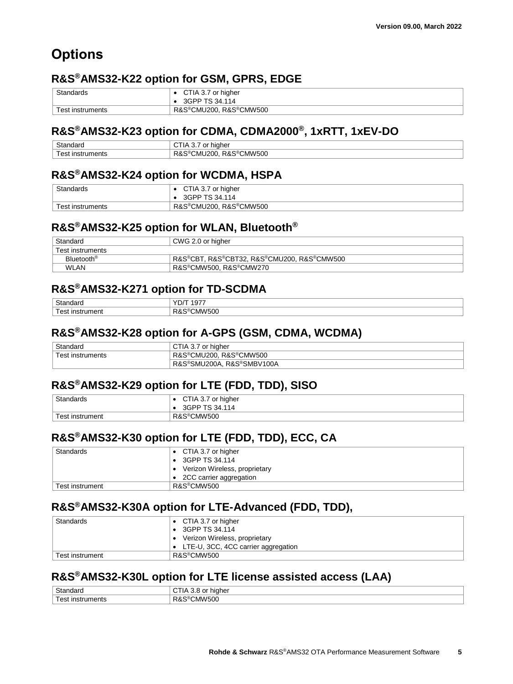# <span id="page-4-0"></span>**Options**

## <span id="page-4-1"></span>**R&S®AMS32-K22 option for GSM, GPRS, EDGE**

| Standards        | CTIA 3.7 or higher     |
|------------------|------------------------|
|                  | 3GPP TS 34.114         |
| Test instruments | R&S®CMU200, R&S®CMW500 |

#### <span id="page-4-2"></span>**R&S®AMS32-K23 option for CDMA, CDMA2000®, 1xRTT, 1xEV-DO**

| Standard            | maher<br>or                              |
|---------------------|------------------------------------------|
| -<br>nst<br>ruments | <b>CMW500</b><br>R&S®<br>CMU200.<br>۰۲۵۰ |

#### <span id="page-4-3"></span>**R&S®AMS32-K24 option for WCDMA, HSPA**

| Standards        | CTIA 3.7 or higher     |
|------------------|------------------------|
|                  | 3GPP TS 34.114         |
| Test instruments | R&S®CMU200, R&S®CMW500 |

#### <span id="page-4-4"></span>**R&S®AMS32-K25 option for WLAN, Bluetooth®**

| Standard               | CWG 2.0 or higher                          |
|------------------------|--------------------------------------------|
| Test instruments       |                                            |
| Bluetooth <sup>®</sup> | R&S®CBT. R&S®CBT32. R&S®CMU200. R&S®CMW500 |
| <b>WLAN</b>            | R&S®CMW500. R&S®CMW270                     |

#### <span id="page-4-5"></span>**R&S®AMS32-K271 option for TD-SCDMA**

| $\sim$ | . .<br>. .<br>                               |
|--------|----------------------------------------------|
| -      | $\ldots$ $\mathsf{M}\mathsf{M}^{\mathsf{H}}$ |
| ו וש   | 500                                          |

#### <span id="page-4-6"></span>**R&S®AMS32-K28 option for A-GPS (GSM, CDMA, WCDMA)**

| Standard         | or hiaher<br>$\mathbf{H}$<br>ו. טר   |
|------------------|--------------------------------------|
| ⊺est instruments | R&S®CMW500<br><b>R&amp;S®CMU200.</b> |
|                  | . R&S®SMBV100A<br>R&S®SMU200A,       |

#### <span id="page-4-7"></span>**R&S®AMS32-K29 option for LTE (FDD, TDD), SISO**

| Standards            | CTIA 3.7 or higher<br>3GPP TS 34.114 |
|----------------------|--------------------------------------|
| ⊺est<br>t instrument | R&S <sup>®</sup> CMW500              |

### <span id="page-4-8"></span>**R&S®AMS32-K30 option for LTE (FDD, TDD), ECC, CA**

| <b>Standards</b> | • CTIA 3.7 or higher<br>$\bullet$ 3GPP TS 34.114 |
|------------------|--------------------------------------------------|
|                  | Verizon Wireless, proprietary                    |
|                  | • 2CC carrier aggregation                        |
| Test instrument  | R&S®CMW500                                       |

#### <span id="page-4-9"></span>**R&S®AMS32-K30A option for LTE-Advanced (FDD, TDD),**

| Standards       | • CTIA 3.7 or higher                          |
|-----------------|-----------------------------------------------|
|                 | $\bullet$ 3GPP TS 34.114                      |
|                 | • Verizon Wireless, proprietary               |
|                 | $\bullet$ LTE-U, 3CC, 4CC carrier aggregation |
| Test instrument | R&S®CMW500                                    |

#### <span id="page-4-10"></span>**R&S®AMS32-K30L option for LTE license assisted access (LAA)**

| $\sim$<br>าnaar∟<br>ಎಡ            | higher                        |
|-----------------------------------|-------------------------------|
| ruments<br>$\mathbf{a}$<br>-INST. | <b>CMW500</b><br>یں رے<br>RQ. |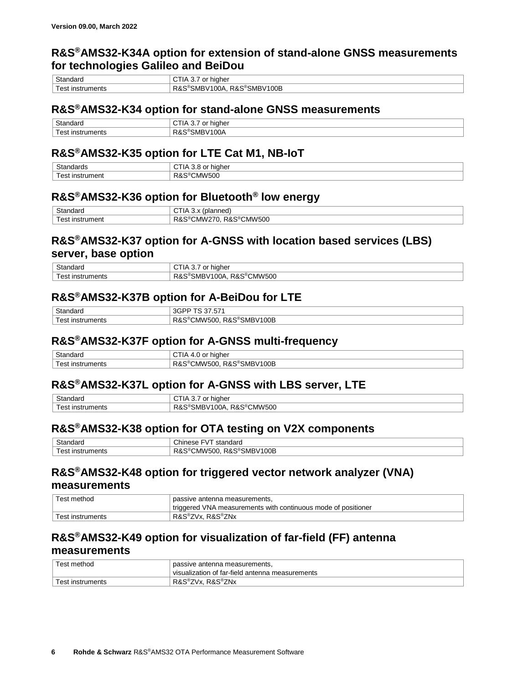#### <span id="page-5-0"></span>**R&S®AMS32-K34A option for extension of stand-alone GNSS measurements for technologies Galileo and BeiDou**

| Standaro                 | higher<br>or<br>$\mathbf{H}$<br>J.                                          |
|--------------------------|-----------------------------------------------------------------------------|
| ∣est<br>ruments<br>ınstı | 100B<br>R&S®SMBV .<br>D<br>100A<br>SMB<br>$\cdot$ M $^{\circ}$<br>ĸΔ<br>. . |

#### <span id="page-5-1"></span>**R&S®AMS32-K34 option for stand-alone GNSS measurements**

| $\sim$      | niaher<br>- 17<br>ີ<br>ີ         |
|-------------|----------------------------------|
| -<br>ıments | ∪U₽<br>. .<br>ושר<br>л.<br>_____ |

#### <span id="page-5-2"></span>**R&S®AMS32-K35 option for LTE Cat M1, NB-IoT**

| $\sim$<br>⊶udaruJ<br>17 ה | higher                |
|---------------------------|-----------------------|
| -<br>---<br>umer<br>.     | CMW500<br>$\ddot{\,}$ |

#### <span id="page-5-3"></span>**R&S®AMS32-K36 option for Bluetooth® low energy**

| $\sim$<br>andard<br>эiа     | (planned<br>ິ                                                            |
|-----------------------------|--------------------------------------------------------------------------|
| ∗ہ⊿ .<br>instrument<br>- 55 | $\sum_{i=1}^{n} a_i$<br>CMW500<br>∽<br>…MW^∵<br>R&S৺<br>,,,<br>۲۵ ک<br>. |

#### <span id="page-5-4"></span>**R&S®AMS32-K37 option for A-GNSS with location based services (LBS) server, base option**

| $\sim$<br>`≏ndaru<br>صا د        | higher                                                                       |
|----------------------------------|------------------------------------------------------------------------------|
| $\alpha$<br>⊥instruments<br>- 55 | <b>N500</b><br>$RAS^\circledR$<br>00A<br>∴MMط<br>'∿ا⁄اٽ<br>$\cdot$<br>$\sim$ |

#### <span id="page-5-5"></span>**R&S®AMS32-K37B option for A-BeiDou for LTE**

| <b>Standard</b> | --                                                  |
|-----------------|-----------------------------------------------------|
| ments           | 100E<br>R&.<br>۰ο<br>:SMP:<br>CMW500<br><b>ROLL</b> |

#### <span id="page-5-6"></span>**R&S®AMS32-K37F option for A-GNSS multi-frequency**

| Standard                      | higher                                        |
|-------------------------------|-----------------------------------------------|
| †ء⊿ َ،<br>` instruments<br>பை | R&S®SMBV<br>$\sqrt{100B}$<br>∵R&∟<br>'CMW500. |

#### <span id="page-5-7"></span>**R&S®AMS32-K37L option for A-GNSS with LBS server, LTE**

| $\sim$<br>Standard                                       | higher                                      |
|----------------------------------------------------------|---------------------------------------------|
| $\overline{\phantom{0}}$<br>∵ınstruments<br>'≏ہ<br>ادت ت | CMW500<br>∘ ⊂<br>00A<br>∹MBV<br>. 58<br>۲Oх |

#### <span id="page-5-8"></span>**R&S®AMS32-K38 option for OTA testing on V2X components**

| $\sim$           | $\sim$<br>าdaro<br>ے ہ<br>hır<br>oton<br>- \/<br>ડાતા<br>$-25 -$ |
|------------------|------------------------------------------------------------------|
| ruments<br>INSTI | n o<br>00B<br>CMW500<br>oΜB۷<br>κα<br>₹ ∿                        |

#### <span id="page-5-9"></span>**R&S®AMS32-K48 option for triggered vector network analyzer (VNA) measurements**

| Test method      | passive antenna measurements.                                 |
|------------------|---------------------------------------------------------------|
|                  | triggered VNA measurements with continuous mode of positioner |
| Test instruments | R&S®ZVx. R&S®ZNx                                              |

#### <span id="page-5-10"></span>**R&S®AMS32-K49 option for visualization of far-field (FF) antenna measurements**

| Test method      | passive antenna measurements,                   |
|------------------|-------------------------------------------------|
|                  | visualization of far-field antenna measurements |
| Test instruments | R&S®ZVx. R&S®ZNx                                |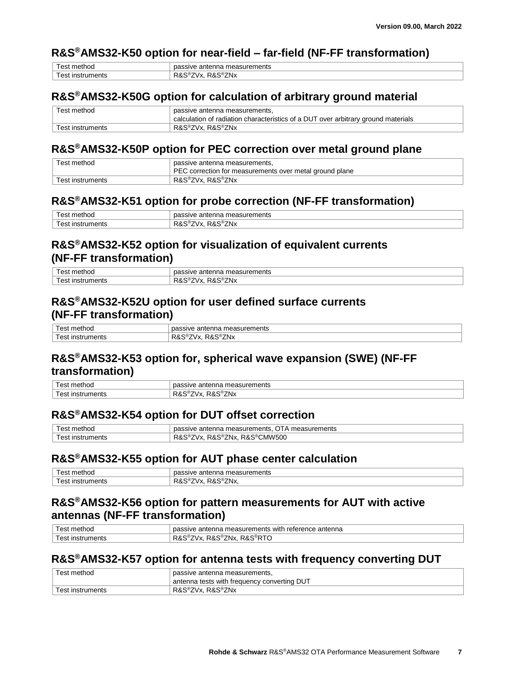#### <span id="page-6-0"></span>**R&S®AMS32-K50 option for near-field – far-field (NF-FF transformation)**

| - - - - - -<br>100<br>.           | .<br>nents<br>ше<br>ar.               |
|-----------------------------------|---------------------------------------|
| $\overline{\phantom{0}}$<br><br>. | n o<br>ZNx<br><br>$\mathbf{v}$<br>. . |

#### <span id="page-6-1"></span>**R&S®AMS32-K50G option for calculation of arbitrary ground material**

| Test method      | passive antenna measurements,                                                     |
|------------------|-----------------------------------------------------------------------------------|
|                  | calculation of radiation characteristics of a DUT over arbitrary ground materials |
| Test instruments | R&S®ZVx. R&S®ZNx                                                                  |

#### <span id="page-6-2"></span>**R&S®AMS32-K50P option for PEC correction over metal ground plane**

| Test method      | passive antenna measurements,                           |
|------------------|---------------------------------------------------------|
|                  | PEC correction for measurements over metal ground plane |
| Test instruments | R&S®ZVx, R&S®ZNx                                        |

#### <span id="page-6-3"></span>**R&S®AMS32-K51 option for probe correction (NF-FF transformation)**

| المستحاظ والمسار<br>noc        | nents<br>אחו<br>апе<br>$\overline{\phantom{a}}$                         |
|--------------------------------|-------------------------------------------------------------------------|
| $\triangle$<br>າents<br>.<br>. | י כם<br>°∠Nx<br><b>A.</b><br>^<br>v ∧.<br>w<br>$\overline{\phantom{a}}$ |
|                                |                                                                         |

#### <span id="page-6-4"></span>**R&S®AMS32-K52 option for visualization of equivalent currents (NF-FF transformation)**

| ∩ct<br>----<br>moo<br>பெ              | nents<br>'n.<br>nna<br>- 1170<br>anter<br>ᄓᅿ<br>. <i>.</i><br>шсаэисг |
|---------------------------------------|-----------------------------------------------------------------------|
| $\sim$<br>---<br>iments<br>INST<br>பெ | no.<br>R &<br>∵Nx<br>$\mathbf{v}$<br>$\sim$<br>л.                     |

#### <span id="page-6-5"></span>**R&S®AMS32-K52U option for user defined surface currents (NF-FF transformation)**

| $\sim$ $\sim$ $\sim$ $\sim$ $\sim$ $\sim$<br>netnoc<br>est | pass<br>้<br>หนายการ<br>sive.<br>antenna<br>neasur<br>vc |
|------------------------------------------------------------|----------------------------------------------------------|
| $\alpha$<br>uments<br>nstrun<br>- 31                       | ີ®ZNx<br>ס רו<br>R&<br>$\cdot$<br>'VX.<br>۲α٥<br>-       |

#### <span id="page-6-6"></span>**R&S®AMS32-K53 option for, spherical wave expansion (SWE) (NF-FF transformation)**

| $\sim$<br>noc<br>$\overline{\phantom{a}}$ | nents<br>n,<br>antenna<br>. .<br>71 L                 |
|-------------------------------------------|-------------------------------------------------------|
| $\sim$<br>ments<br>nstr                   | ∛ZNx<br>$\sim$ $V^{\prime}$<br>۲ĸ.<br>к п<br>w<br>, . |

#### <span id="page-6-7"></span>**R&S®AMS32-K54 option for DUT offset correction**

| Test method      | OTA measurements<br>passive antenna measurements.         |
|------------------|-----------------------------------------------------------|
| ⊺est instruments | R&S®CMW500<br>$R\&S^\circledast$<br>®ZNx.<br>್R&ಎ<br>7Vx. |

#### <span id="page-6-8"></span>**R&S®AMS32-K55 option for AUT phase center calculation**

| 'noc           | nents<br>nna<br>anter<br>$\blacksquare$<br>ᄓ<br>. <i>.</i><br>וסו             |
|----------------|-------------------------------------------------------------------------------|
| iments<br>וריו | <u>ີ</u><br>רז<br>∕Nv<br>$\mathbf{v}$<br>$\sim$ $\sim$ $\sim$<br>ໍ້<br>1 Y.A. |

#### <span id="page-6-9"></span>**R&S®AMS32-K56 option for pattern measurements for AUT with active antennas (NF-FF transformation)**

| $\sim$ + $\sim$ $\sim$<br>est<br>metnoc | nnn<br>antenna<br>antenna<br>urements<br>with<br>reterence<br>measuren<br>ssive      |
|-----------------------------------------|--------------------------------------------------------------------------------------|
| +ء△<br>ruments<br>ınstr<br>շப           | _.งx. R&S®P <sup>—∽</sup><br>D 9<br>7Nx.<br>'VX.<br>₹ ∧.<br>$\overline{\phantom{a}}$ |

#### <span id="page-6-10"></span>**R&S®AMS32-K57 option for antenna tests with frequency converting DUT**

| Test method      | passive antenna measurements,               |
|------------------|---------------------------------------------|
|                  | antenna tests with frequency converting DUT |
| Test instruments | R&S®ZVx. R&S®ZNx                            |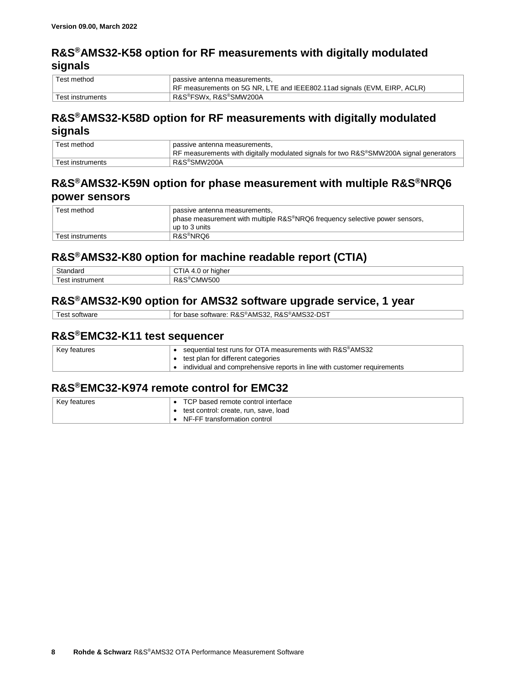#### <span id="page-7-0"></span>**R&S®AMS32-K58 option for RF measurements with digitally modulated signals**

| Test method      | passive antenna measurements,<br>RF measurements on 5G NR, LTE and IEEE802.11ad signals (EVM, EIRP, ACLR) |
|------------------|-----------------------------------------------------------------------------------------------------------|
| Test instruments | R&S®FSWx, R&S®SMW200A                                                                                     |

#### <span id="page-7-1"></span>**R&S®AMS32-K58D option for RF measurements with digitally modulated signals**

| Test method      | passive antenna measurements,                                                          |  |  |
|------------------|----------------------------------------------------------------------------------------|--|--|
|                  | RF measurements with digitally modulated signals for two R&S®SMW200A signal generators |  |  |
| Test instruments | R&S®SMW200A                                                                            |  |  |

#### <span id="page-7-2"></span>**R&S®AMS32-K59N option for phase measurement with multiple R&S®NRQ6 power sensors**

| Test method      | passive antenna measurements,<br>phase measurement with multiple R&S <sup>®</sup> NRQ6 frequency selective power sensors,<br>up to 3 units |
|------------------|--------------------------------------------------------------------------------------------------------------------------------------------|
| Test instruments | R&S®NRO6                                                                                                                                   |

#### <span id="page-7-3"></span>**R&S®AMS32-K80 option for machine readable report (CTIA)**

| ົົ້<br>udiu | .<br>IG.<br> |
|-------------|--------------|
| es          | $\sim$       |
| $\cdots$    | n o          |
| ınstı       | …MW!∽′       |
| чени        | 50U          |

#### <span id="page-7-4"></span>**R&S®AMS32-K90 option for AMS32 software upgrade service, 1 year**

Test software for base software: R&S®AMS32, R&S®AMS32-DST

#### <span id="page-7-5"></span>**R&S®EMC32-K11 test sequencer**

| Key features | sequential test runs for OTA measurements with R&S®AMS32                |  |  |  |  |
|--------------|-------------------------------------------------------------------------|--|--|--|--|
|              | test plan for different categories                                      |  |  |  |  |
|              | individual and comprehensive reports in line with customer requirements |  |  |  |  |

#### <span id="page-7-6"></span>**R&S®EMC32-K974 remote control for EMC32**

| Key features | TCP based remote control interface    |
|--------------|---------------------------------------|
|              | test control: create, run, save, load |
|              | NF-FF transformation control          |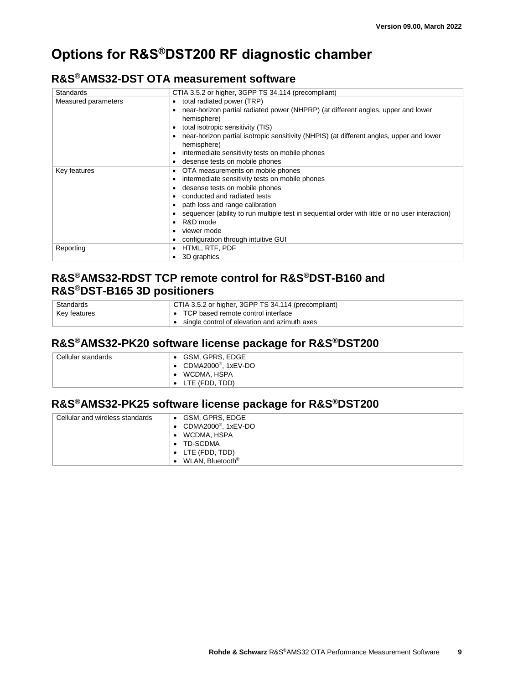# <span id="page-8-0"></span>**Options for R&S®DST200 RF diagnostic chamber**

#### <span id="page-8-1"></span>**R&S®AMS32-DST OTA measurement software**

| <b>Standards</b>    | CTIA 3.5.2 or higher, 3GPP TS 34.114 (precompliant)                                                     |  |  |  |
|---------------------|---------------------------------------------------------------------------------------------------------|--|--|--|
| Measured parameters | total radiated power (TRP)                                                                              |  |  |  |
|                     | near-horizon partial radiated power (NHPRP) (at different angles, upper and lower<br>hemisphere)        |  |  |  |
|                     | total isotropic sensitivity (TIS)                                                                       |  |  |  |
|                     | near-horizon partial isotropic sensitivity (NHPIS) (at different angles, upper and lower<br>hemisphere) |  |  |  |
|                     | intermediate sensitivity tests on mobile phones                                                         |  |  |  |
|                     | desense tests on mobile phones                                                                          |  |  |  |
| Key features        | OTA measurements on mobile phones                                                                       |  |  |  |
|                     | intermediate sensitivity tests on mobile phones                                                         |  |  |  |
|                     | desense tests on mobile phones                                                                          |  |  |  |
|                     | conducted and radiated tests                                                                            |  |  |  |
|                     | path loss and range calibration                                                                         |  |  |  |
|                     | sequencer (ability to run multiple test in sequential order with little or no user interaction)         |  |  |  |
|                     | R&D mode                                                                                                |  |  |  |
|                     | viewer mode                                                                                             |  |  |  |
|                     | configuration through intuitive GUI                                                                     |  |  |  |
| Reporting           | HTML, RTF, PDF                                                                                          |  |  |  |
|                     | 3D graphics                                                                                             |  |  |  |

#### <span id="page-8-2"></span>**R&S®AMS32-RDST TCP remote control for R&S®DST-B160 and R&S®DST-B165 3D positioners**

| Standards    | CTIA 3.5.2 or higher, 3GPP TS 34.114 (precompliant) |
|--------------|-----------------------------------------------------|
| Key features | TCP based remote control interface                  |
|              | single control of elevation and azimuth axes        |

#### <span id="page-8-3"></span>**R&S®AMS32-PK20 software license package for R&S®DST200**

| Cellular standards | GSM, GPRS, EDGE                 |
|--------------------|---------------------------------|
|                    | CDMA2000 <sup>®</sup> , 1xEV-DO |
|                    | WCDMA, HSPA                     |
|                    | LTE (FDD, TDD)                  |
|                    |                                 |

## <span id="page-8-4"></span>**R&S®AMS32-PK25 software license package for R&S®DST200**

| Cellular and wireless standards | • GSM, GPRS, EDGE                         |
|---------------------------------|-------------------------------------------|
|                                 | $\bullet$ CDMA2000 <sup>®</sup> , 1xEV-DO |
|                                 | WCDMA, HSPA<br>$\bullet$                  |
|                                 | • TD-SCDMA                                |
|                                 | $\bullet$ LTE (FDD, TDD)                  |
|                                 | WLAN, Bluetooth <sup>®</sup><br>$\bullet$ |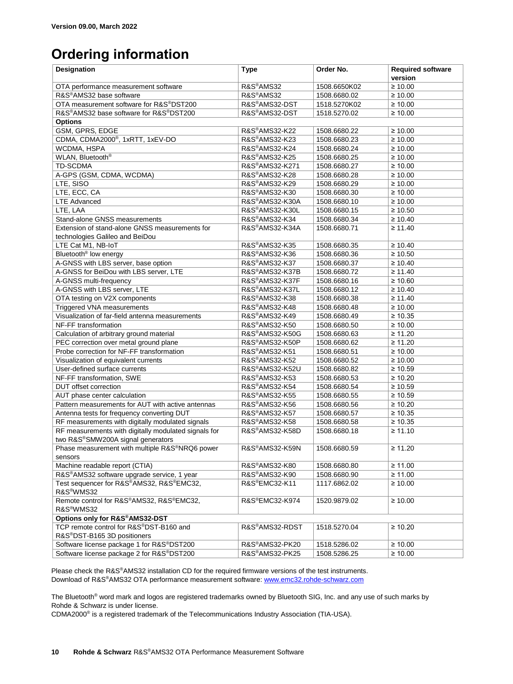# <span id="page-9-0"></span>**Ordering information**

| Designation                                                            | <b>Type</b>                 | Order No.    | <b>Required software</b><br>version |
|------------------------------------------------------------------------|-----------------------------|--------------|-------------------------------------|
|                                                                        | R&S®AMS32                   | 1508.6650K02 | $\geq 10.00$                        |
| OTA performance measurement software<br>R&S®AMS32 base software        | R&S®AMS32                   | 1508.6680.02 | $\geq 10.00$                        |
| OTA measurement software for R&S®DST200                                | R&S®AMS32-DST               | 1518.5270K02 | $\geq 10.00$                        |
| R&S®AMS32 base software for R&S®DST200                                 | R&S®AMS32-DST               |              | $\geq 10.00$                        |
| <b>Options</b>                                                         |                             | 1518.5270.02 |                                     |
| GSM, GPRS, EDGE                                                        | R&S®AMS32-K22               | 1508.6680.22 | ≥ 10.00                             |
| CDMA, CDMA2000®, 1xRTT, 1xEV-DO                                        | R&S®AMS32-K23               | 1508.6680.23 | $\geq 10.00$                        |
| WCDMA, HSPA                                                            | R&S®AMS32-K24               | 1508.6680.24 | $\geq 10.00$                        |
| WLAN, Bluetooth®                                                       | R&S <sup>®</sup> AMS32-K25  | 1508.6680.25 | $\geq 10.00$                        |
| <b>TD-SCDMA</b>                                                        | R&S®AMS32-K271              | 1508.6680.27 | $\geq 10.00$                        |
| A-GPS (GSM, CDMA, WCDMA)                                               | R&S®AMS32-K28               | 1508.6680.28 | $\geq 10.00$                        |
| LTE, SISO                                                              | R&S®AMS32-K29               | 1508.6680.29 | $\geq 10.00$                        |
| LTE, ECC, CA                                                           | R&S®AMS32-K30               | 1508.6680.30 | $\geq 10.00$                        |
| <b>LTE Advanced</b>                                                    | R&S®AMS32-K30A              | 1508.6680.10 | $\geq 10.00$                        |
| LTE, LAA                                                               | R&S <sup>®</sup> AMS32-K30L | 1508.6680.15 | ≥ 10.50                             |
| Stand-alone GNSS measurements                                          | R&S®AMS32-K34               | 1508.6680.34 | $\geq 10.40$                        |
| Extension of stand-alone GNSS measurements for                         | R&S®AMS32-K34A              | 1508.6680.71 | ≥ 11.40                             |
| technologies Galileo and BeiDou                                        |                             |              |                                     |
| LTE Cat M1, NB-IoT                                                     | R&S®AMS32-K35               | 1508.6680.35 | $\geq 10.40$                        |
| Bluetooth <sup>®</sup> low energy                                      | R&S®AMS32-K36               | 1508.6680.36 | ≥ 10.50                             |
| A-GNSS with LBS server, base option                                    | R&S®AMS32-K37               | 1508.6680.37 | $\geq 10.40$                        |
| A-GNSS for BeiDou with LBS server, LTE                                 | R&S®AMS32-K37B              | 1508.6680.72 | ≥ 11.40                             |
| A-GNSS multi-frequency                                                 | R&S®AMS32-K37F              | 1508.6680.16 | $\geq 10.60$                        |
| A-GNSS with LBS server, LTE                                            | R&S®AMS32-K37L              | 1508.6680.12 | $\geq 10.40$                        |
| OTA testing on V2X components                                          | R&S®AMS32-K38               | 1508.6680.38 | ≥ 11.40                             |
| Triggered VNA measurements                                             | R&S®AMS32-K48               | 1508.6680.48 | $\geq 10.00$                        |
| Visualization of far-field antenna measurements                        | R&S®AMS32-K49               | 1508.6680.49 | $\geq 10.35$                        |
| NF-FF transformation                                                   | R&S®AMS32-K50               | 1508.6680.50 | $\geq 10.00$                        |
| Calculation of arbitrary ground material                               | R&S®AMS32-K50G              | 1508.6680.63 | ≥ 11.20                             |
| PEC correction over metal ground plane                                 | R&S®AMS32-K50P              | 1508.6680.62 | $\geq 11.20$                        |
| Probe correction for NF-FF transformation                              | R&S®AMS32-K51               | 1508.6680.51 | $\geq 10.00$                        |
| Visualization of equivalent currents                                   | R&S®AMS32-K52               | 1508.6680.52 | $\geq 10.00$                        |
| User-defined surface currents                                          | R&S®AMS32-K52U              | 1508.6680.82 | $\geq 10.59$                        |
| NF-FF transformation, SWE                                              | R&S®AMS32-K53               | 1508.6680.53 | $\geq 10.20$                        |
| DUT offset correction                                                  | R&S®AMS32-K54               | 1508.6680.54 | $\geq 10.59$                        |
| AUT phase center calculation                                           | R&S®AMS32-K55               | 1508.6680.55 | $\geq 10.59$                        |
| Pattern measurements for AUT with active antennas                      | R&S®AMS32-K56               | 1508.6680.56 | $\geq 10.20$                        |
| Antenna tests for frequency converting DUT                             | R&S®AMS32-K57               | 1508.6680.57 | $\geq 10.35$                        |
| RF measurements with digitally modulated signals                       | R&S®AMS32-K58               | 1508.6680.58 | $\geq 10.35$                        |
| RF measurements with digitally modulated signals for                   | R&S®AMS32-K58D              | 1508.6680.18 | ≥ 11.10                             |
| two R&S®SMW200A signal generators                                      |                             |              |                                     |
| Phase measurement with multiple R&S <sup>®</sup> NRQ6 power<br>sensors | R&S®AMS32-K59N              | 1508.6680.59 | ≥ 11.20                             |
| Machine readable report (CTIA)                                         | R&S®AMS32-K80               | 1508.6680.80 | $\geq 11.00$                        |
| R&S®AMS32 software upgrade service, 1 year                             | R&S®AMS32-K90               | 1508.6680.90 | $\geq 11.00$                        |
| Test sequencer for R&S®AMS32, R&S®EMC32,<br>R&S <sup>®</sup> WMS32     | R&S®EMC32-K11               | 1117.6862.02 | $\geq 10.00$                        |
| Remote control for R&S®AMS32, R&S®EMC32,<br>R&S <sup>®</sup> WMS32     | R&S®EMC32-K974              | 1520.9879.02 | $\geq 10.00$                        |
| Options only for R&S®AMS32-DST                                         |                             |              |                                     |
| TCP remote control for R&S®DST-B160 and                                | R&S®AMS32-RDST              | 1518.5270.04 | $\geq 10.20$                        |
| R&S®DST-B165 3D positioners                                            |                             |              |                                     |
| Software license package 1 for R&S®DST200                              | R&S®AMS32-PK20              | 1518.5286.02 | $\geq 10.00$                        |
| Software license package 2 for R&S®DST200                              | R&S®AMS32-PK25              | 1508.5286.25 | $\geq 10.00$                        |

Please check the R&S®AMS32 installation CD for the required firmware versions of the test instruments. Download of R&S®AMS32 OTA performance measurement software[: www.emc32.rohde-schwarz.com](http://www.emc32.rohde-schwarz.com/)

The Bluetooth<sup>®</sup> word mark and logos are registered trademarks owned by Bluetooth SIG, Inc. and any use of such marks by Rohde & Schwarz is under license.

CDMA2000® is a registered trademark of the Telecommunications Industry Association (TIA-USA).